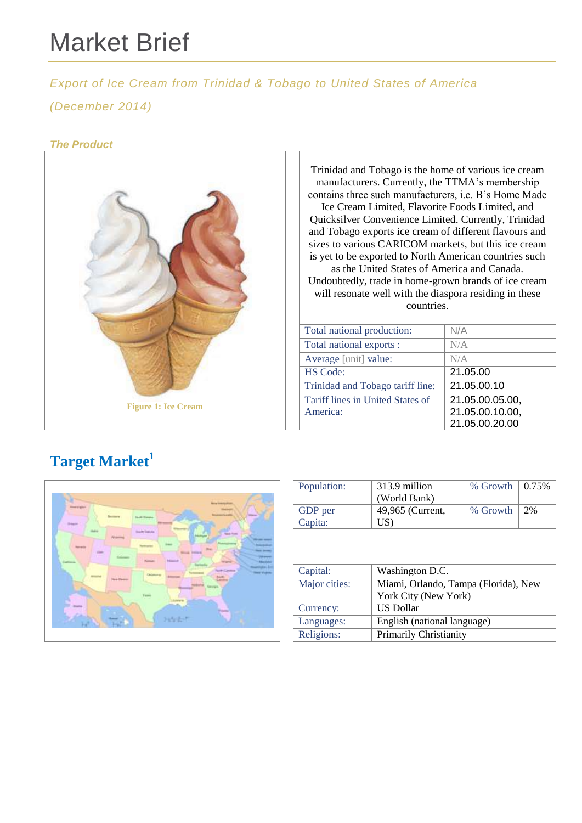# Market Brief

*Export of Ice Cream from Trinidad & Tobago to United States of America*

#### *(December 2014)*

#### *The Product*



Trinidad and Tobago is the home of various ice cream manufacturers. Currently, the TTMA's membership contains three such manufacturers, i.e. B's Home Made Ice Cream Limited, Flavorite Foods Limited, and Quicksilver Convenience Limited. Currently, Trinidad and Tobago exports ice cream of different flavours and sizes to various CARICOM markets, but this ice cream is yet to be exported to North American countries such as the United States of America and Canada. Undoubtedly, trade in home-grown brands of ice cream will resonate well with the diaspora residing in these countries.

| Total national production:       | N/A             |
|----------------------------------|-----------------|
| Total national exports :         | N/A             |
| Average [unit] value:            | N/A             |
| <b>HS Code:</b>                  | 21.05.00        |
| Trinidad and Tobago tariff line: | 21.05.00.10     |
| Tariff lines in United States of | 21.05.00.05.00, |
| America:                         | 21.05.00.10.00, |
|                                  | 21.05.00.20.00  |

## **Target Market<sup>1</sup>**



| Population: | 313.9 million    | $%$ Growth $\vert$ 0.75% |    |
|-------------|------------------|--------------------------|----|
|             | (World Bank)     |                          |    |
| GDP per     | 49,965 (Current, | % Growth                 | 2% |
| Capita:     | US)              |                          |    |

| Capital:      | Washington D.C.                      |  |
|---------------|--------------------------------------|--|
| Major cities: | Miami, Orlando, Tampa (Florida), New |  |
|               | York City (New York)                 |  |
| Currency:     | <b>US Dollar</b>                     |  |
| Languages:    | English (national language)          |  |
| Religions:    | <b>Primarily Christianity</b>        |  |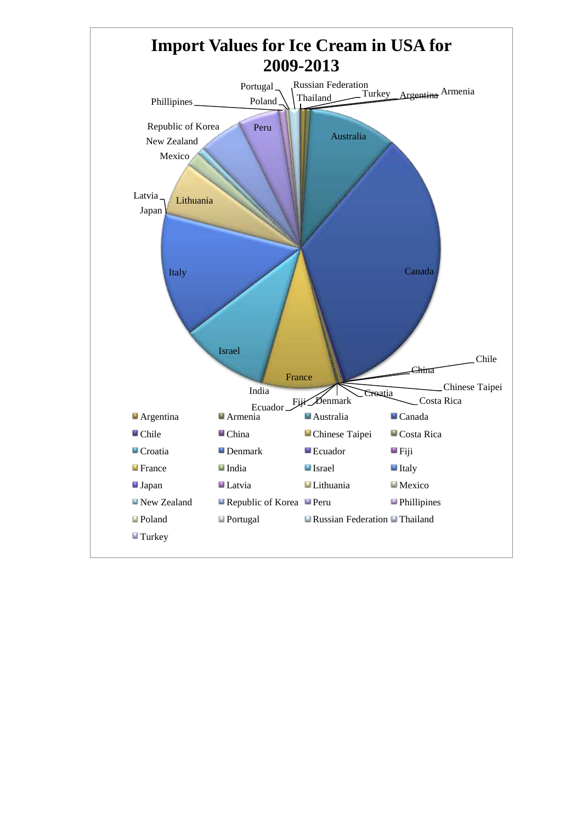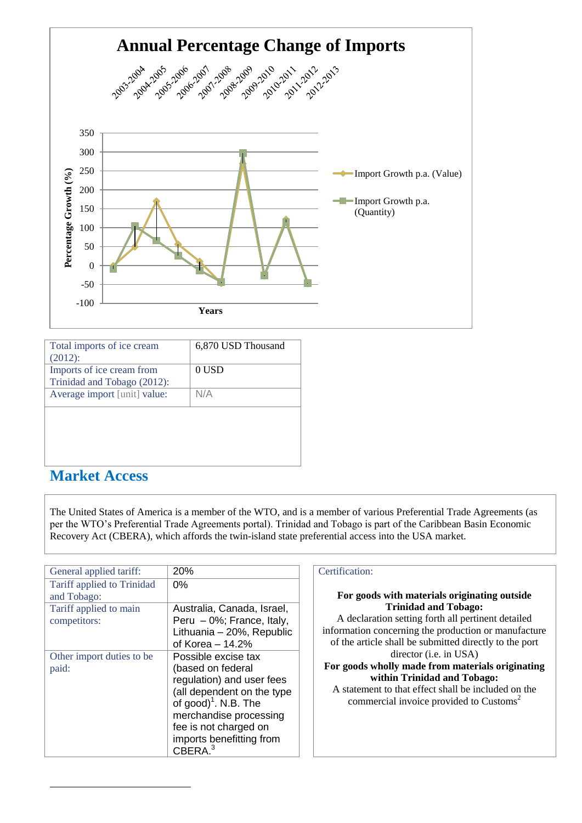

| Total imports of ice cream<br>$(2012)$ :                 | 6,870 USD Thousand |
|----------------------------------------------------------|--------------------|
| Imports of ice cream from<br>Trinidad and Tobago (2012): | 0 USD              |
| Average import [unit] value:                             | N/A                |
|                                                          |                    |
|                                                          |                    |
|                                                          |                    |

### **Market Access**

-

The United States of America is a member of the WTO, and is a member of various Preferential Trade Agreements (as per the WTO's Preferential Trade Agreements portal). Trinidad and Tobago is part of the Caribbean Basin Economic Recovery Act (CBERA), which affords the twin-island state preferential access into the USA market.

| General applied tariff:    | 20%                              | Certification: |
|----------------------------|----------------------------------|----------------|
| Tariff applied to Trinidad | $0\%$                            |                |
| and Tobago:                |                                  | For good       |
| Tariff applied to main     | Australia, Canada, Israel,       |                |
| competitors:               | Peru - 0%; France, Italy,        | A declar       |
|                            | Lithuania - 20%, Republic        | information    |
|                            | of Korea $-14.2%$                | of the artic   |
| Other import duties to be  | Possible excise tax              |                |
| paid:                      | (based on federal                | For goods      |
|                            | regulation) and user fees        |                |
|                            | (all dependent on the type       | A stateme      |
|                            | of good) <sup>1</sup> . N.B. The | comm           |
|                            | merchandise processing           |                |
|                            | fee is not charged on            |                |
|                            | imports benefitting from         |                |
|                            | CBERA <sup>3</sup>               |                |

#### **For goods with materials originating outside Trinidad and Tobago:**

aration setting forth all pertinent detailed in concerning the production or manufacture ticle shall be submitted directly to the port director (i.e. in USA)

#### **Folly made from materials originating within Trinidad and Tobago:**

nent to that effect shall be included on the mercial invoice provided to Customs<sup>2</sup>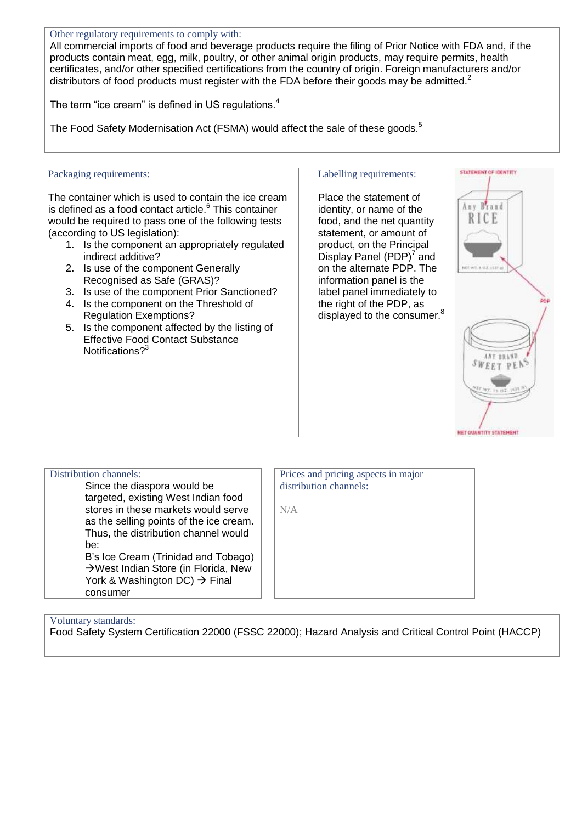#### Other regulatory requirements to comply with:

All commercial imports of food and beverage products require the filing of Prior Notice with FDA and, if the products contain meat, egg, milk, poultry, or other animal origin products, may require permits, health certificates, and/or other specified certifications from the country of origin. Foreign manufacturers and/or distributors of food products must register with the FDA before their goods may be admitted.<sup>2</sup>

The term "ice cream" is defined in US regulations.<sup>4</sup>

The Food Safety Modernisation Act (FSMA) would affect the sale of these goods.<sup>5</sup>

#### Packaging requirements:

The container which is used to contain the ice cream is defined as a food contact article. 6 This container would be required to pass one of the following tests (according to US legislation):

- 1. Is the component an appropriately regulated indirect additive?
- 2. Is use of the component Generally Recognised as Safe (GRAS)?
- 3. Is use of the component Prior Sanctioned?
- 4. Is the component on the Threshold of Regulation Exemptions?
- 5. Is the component affected by the listing of Effective Food Contact Substance Notifications?<sup>3</sup>

#### Labelling requirements:

Place the statement of identity, or name of the food, and the net quantity statement, or amount of product, on the Principal Display Panel  $(PDP)^7$  and on the alternate PDP. The information panel is the label panel immediately to the right of the PDP, as displayed to the consumer.<sup>8</sup>



| Distribution channels:<br>Since the diaspora would be<br>targeted, existing West Indian food<br>stores in these markets would serve<br>as the selling points of the ice cream.<br>Thus, the distribution channel would<br>be:<br>B's Ice Cream (Trinidad and Tobago)<br>→ West Indian Store (in Florida, New<br>York & Washington DC) → Final<br>consumer |  |
|-----------------------------------------------------------------------------------------------------------------------------------------------------------------------------------------------------------------------------------------------------------------------------------------------------------------------------------------------------------|--|
|                                                                                                                                                                                                                                                                                                                                                           |  |
|                                                                                                                                                                                                                                                                                                                                                           |  |
|                                                                                                                                                                                                                                                                                                                                                           |  |
|                                                                                                                                                                                                                                                                                                                                                           |  |
|                                                                                                                                                                                                                                                                                                                                                           |  |
|                                                                                                                                                                                                                                                                                                                                                           |  |
|                                                                                                                                                                                                                                                                                                                                                           |  |
|                                                                                                                                                                                                                                                                                                                                                           |  |
|                                                                                                                                                                                                                                                                                                                                                           |  |
|                                                                                                                                                                                                                                                                                                                                                           |  |
|                                                                                                                                                                                                                                                                                                                                                           |  |

Prices and pricing aspects in major distribution channels:

N/A

#### Voluntary standards:

-

Food Safety System Certification 22000 (FSSC 22000); Hazard Analysis and Critical Control Point (HACCP)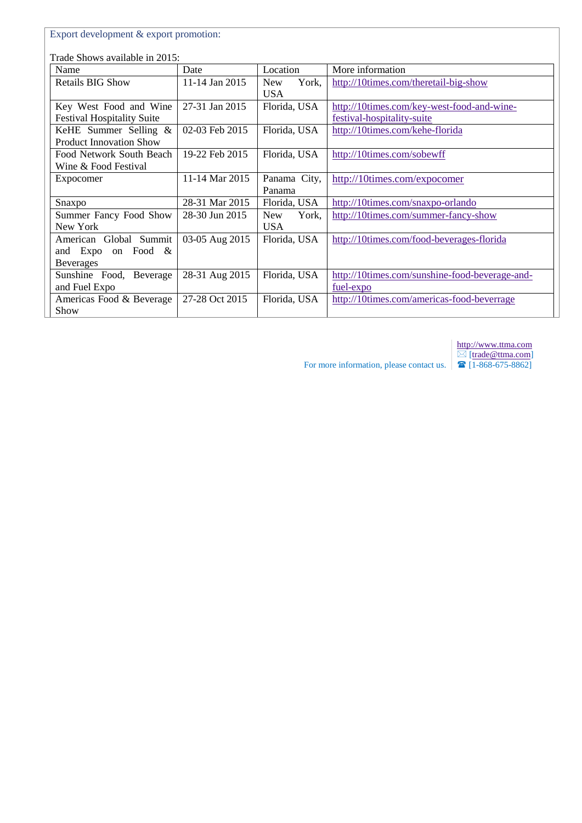|                                                                  | Export development & export promotion: |                                   |                                                                          |  |
|------------------------------------------------------------------|----------------------------------------|-----------------------------------|--------------------------------------------------------------------------|--|
| Trade Shows available in 2015:                                   |                                        |                                   |                                                                          |  |
| Name                                                             | Date                                   | Location                          | More information                                                         |  |
| <b>Retails BIG Show</b>                                          | 11-14 Jan 2015                         | York,<br><b>New</b><br><b>USA</b> | http://10times.com/theretail-big-show                                    |  |
| Key West Food and Wine<br><b>Festival Hospitality Suite</b>      | 27-31 Jan 2015                         | Florida, USA                      | http://10times.com/key-west-food-and-wine-<br>festival-hospitality-suite |  |
| KeHE Summer Selling &<br><b>Product Innovation Show</b>          | 02-03 Feb 2015                         | Florida, USA                      | http://10times.com/kehe-florida                                          |  |
| Food Network South Beach<br>Wine & Food Festival                 | 19-22 Feb 2015                         | Florida, USA                      | http://10times.com/sobewff                                               |  |
| Expocomer                                                        | 11-14 Mar 2015                         | Panama City,<br>Panama            | http://10times.com/expocomer                                             |  |
| Snaxpo                                                           | 28-31 Mar 2015                         | Florida, USA                      | http://10times.com/snaxpo-orlando                                        |  |
| Summer Fancy Food Show<br>New York                               | 28-30 Jun 2015                         | <b>New</b><br>York,<br><b>USA</b> | http://10times.com/summer-fancy-show                                     |  |
| American Global Summit<br>and Expo on Food &<br><b>Beverages</b> | 03-05 Aug 2015                         | Florida, USA                      | http://10times.com/food-beverages-florida                                |  |
| Sunshine Food, Beverage<br>and Fuel Expo                         | 28-31 Aug 2015                         | Florida, USA                      | http://10times.com/sunshine-food-beverage-and-<br>fuel-expo              |  |
| Americas Food & Beverage<br>Show                                 | 27-28 Oct 2015                         | Florida, USA                      | http://10times.com/americas-food-beverrage                               |  |

[http://www.ttma.com](http://www.ttma.com/) ⊠ [\[trade@ttma.com\]](mailto:trade@ttma.com) [1-868-675-8862]

For more information, please contact us.